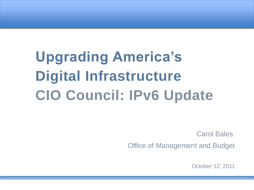# **Upgrading America's Digital Infrastructure CIO Council: IPv6 Update**

Carol Bales

Office of Management and Budget

October 12, 2011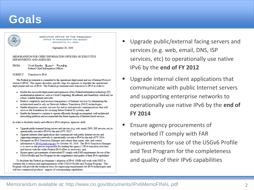### **Goals**



**EXECUTIVE OFFICE OF THE PRESIDENT** OFFICE OF MANAGEMENT AND BUDGET WASHINGTON, D.C. 20503

September 28, 2010

#### MEMORANDUM FOR CHIEF INFORMATION OFFICERS OF EXECUTIVE **DEPARTMENTS AND AGENCIES**

FROM: Vivek Kundra Vinen Kundya Federal Chief Information Officer

SUBJECT: Transition to IPv6

The Federal government is committed to the operational deployment and use of Internet Protocol version 6 (IPv6). This memo describes specific steps for agencies to expedite the operational deployment and use of IPv6. The Federal government must transition to IPv6 in order to:

- · Enable the successful deployment and expansion of key Federal information technology (IT) modernization initiatives, such as Cloud Computing, Broadband, and SmartGrid, which rely on robust, scalable Internet networks:
- Reduce complexity and increase transparency of Internet services by eliminating the architectural need to rely on Network Address Translation (NAT) technologies;
- · Enable ubiquitous security services for end-to-end network communications that will serve as the foundation for securing future Federal IT systems; and,
- Enable the Internet to continue to operate efficiently through an integrated, well-architected networking platform and accommodate the future expansion of Internet-based services.

In order to facilitate timely and effective IPv6 adoption, agencies shall:

- Upgrade public/external facing servers and services (e.g. web, email, DNS, ISP services, etc) to operationally use native IPv6 by the end of FY 2012<sup>1</sup>;
- Upgrade internal client applications that communicate with public Internet servers and supporting enterprise networks to operationally use native IPv6 by the end of FY 2014;
- Designate an IPv6 Transition Manager and submit their name, title, and contact information to **P**v6@omb.eop.gov by October 30, 2010. The Pv6 Transition Manager is to serve as the person responsible for leading the agency's IPv6 transition activities, and liaison with the wider Federal IPv6 effort as necessary; and,
- Ensure agency procurements of networked IT comply with FAR requirements for use of the USGv6 Profile and Test Program for the completeness and quality of their IPv6 capabilities.

To facilitate the Federal government's adoption of IPv6, OMB will work with NIST to continue the evolution and implementation of the USGv6 Profile and Testing Program. This Program will provide the technical basis for expressing requirements for IPv6 technologies and will test commercial products' support of corresponding capabilities.

- Upgrade public/external facing servers and services (e.g. web, email, DNS, ISP services, etc) to operationally use native IPv6 by the **end of FY 2012**
- Upgrade internal client applications that communicate with public Internet servers and supporting enterprise networks to operationally use native IPv6 by the **end of FY 2014**
- Ensure agency procurements of networked IT comply with FAR requirements for use of the USGv6 Profile and Test Program for the completeness and quality of their IPv6 capabilities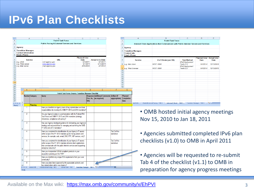## **IPv6 Plan Checklists**

|                                                          |                        | B<br><b>Fedv6 Task Force</b>                                                                           | C.                                                 | D                                                |               | $\vert$ 1                                   |                            | <b>Fedv6 Task Force</b>                                                                 |                                     | D                               | Е          |  |  |
|----------------------------------------------------------|------------------------|--------------------------------------------------------------------------------------------------------|----------------------------------------------------|--------------------------------------------------|---------------|---------------------------------------------|----------------------------|-----------------------------------------------------------------------------------------|-------------------------------------|---------------------------------|------------|--|--|
| <b>Public Facing &amp; External Servers and Services</b> |                        |                                                                                                        |                                                    |                                                  |               |                                             |                            |                                                                                         |                                     |                                 |            |  |  |
|                                                          |                        |                                                                                                        |                                                    |                                                  |               | $\overline{2}$                              |                            | Internal Client Applications that Communicate with Public Internet Servers and Services |                                     |                                 |            |  |  |
| Agency:                                                  |                        |                                                                                                        |                                                    |                                                  |               | 3 Agency:                                   |                            |                                                                                         |                                     |                                 |            |  |  |
| <b>Transition Manager:</b>                               |                        |                                                                                                        |                                                    |                                                  |               | $\overline{4}$                              | <b>Transition Manager:</b> |                                                                                         |                                     |                                 |            |  |  |
| <b>Contact Information:</b><br><b>Email, Phone</b>       |                        |                                                                                                        |                                                    |                                                  |               | <b>Contact Info:</b><br><b>Email, Phone</b> |                            |                                                                                         |                                     |                                 |            |  |  |
|                                                          |                        |                                                                                                        | <b>Planned Live</b>                                |                                                  |               |                                             |                            |                                                                                         |                                     | <b>Planned Live Actual Live</b> |            |  |  |
|                                                          | <b>Service</b>         | URL                                                                                                    | <b>Date</b>                                        | <b>Actual Live Date</b>                          |               |                                             | <b>Service</b>             | # of Clients (per OU)                                                                   | <b>Test Method</b>                  | <b>Date</b>                     | Date       |  |  |
| e.g. DNS<br>9 e.g. Web server                            |                        | ns1.agency.gov<br>www.agency.gov                                                                       | 6/1/2011<br>6/1/2011                               | 5/1/2011<br>5/15/2011                            |               | 8 e.g. Mail client                          |                            | <b>NIST: 6500</b>                                                                       | <b>IPv6</b> Deployment<br>Tests 2.3 | 6/1/2014                        | 12/12/2013 |  |  |
| 10 e.g. Mail server                                      |                        | mail.agency.gov                                                                                        | 3/31/2012                                          | 2/1/2012                                         |               |                                             |                            |                                                                                         | <b>IPv6</b> Deployment              |                                 |            |  |  |
|                                                          |                        |                                                                                                        |                                                    |                                                  |               | 9 e.g. Web browser<br>10 <sup>10</sup>      |                            | <b>NIST: 6500</b>                                                                       | Tests 2.2                           | 6/1/2014                        | 12/12/2013 |  |  |
|                                                          |                        |                                                                                                        |                                                    |                                                  |               | 11                                          |                            |                                                                                         |                                     |                                 |            |  |  |
|                                                          |                        |                                                                                                        |                                                    |                                                  |               | 12<br>13                                    |                            |                                                                                         |                                     |                                 |            |  |  |
|                                                          |                        |                                                                                                        |                                                    |                                                  |               | 14                                          |                            |                                                                                         |                                     |                                 |            |  |  |
|                                                          |                        |                                                                                                        |                                                    |                                                  |               | 15                                          |                            |                                                                                         |                                     |                                 |            |  |  |
|                                                          |                        |                                                                                                        |                                                    |                                                  |               | 16<br>17                                    |                            |                                                                                         |                                     |                                 |            |  |  |
|                                                          |                        |                                                                                                        |                                                    |                                                  |               | 18                                          |                            |                                                                                         |                                     |                                 |            |  |  |
|                                                          | $\overline{B}$         |                                                                                                        |                                                    | $\Box$<br>F                                      |               | G                                           |                            |                                                                                         |                                     |                                 |            |  |  |
|                                                          |                        | Fedv6 Task Force: Agency Transition Manager Checklist                                                  |                                                    |                                                  |               |                                             |                            |                                                                                         |                                     |                                 |            |  |  |
|                                                          | <b>Number</b> Category | <b>Query</b>                                                                                           |                                                    | <b>Response Additional Comments Artifact (if</b> |               | Planned                                     |                            |                                                                                         |                                     |                                 |            |  |  |
|                                                          |                        |                                                                                                        |                                                    | $ $ (Yes, No, $ $ (as required)                  | apppropriate) | <b>Completion</b>                           |                            |                                                                                         |                                     |                                 |            |  |  |
| $\overline{2}$                                           |                        |                                                                                                        | IN/A)                                              |                                                  |               | <b>IDate</b>                                | eral Info                  | Public&External Facing - TAB 2 Internal Client - TAB 3 Transition Manager - TAB 4       |                                     |                                 |            |  |  |
| $\mathbf{3}$                                             | <b>Planning</b>        |                                                                                                        |                                                    |                                                  |               |                                             |                            |                                                                                         |                                     |                                 |            |  |  |
|                                                          |                        | Have you identified an Agency team of key stakeholders and their                                       |                                                    |                                                  |               |                                             |                            |                                                                                         |                                     |                                 |            |  |  |
|                                                          |                        | responsibilities for meeting the OMB FY 2012 and 2014 mandates?                                        |                                                    |                                                  |               |                                             |                            | • OMB hosted initial agency meetings                                                    |                                     |                                 |            |  |  |
| $\overline{2}$                                           |                        | Are your Agency's plans in synchronization with the Federal IPv6                                       |                                                    |                                                  |               |                                             |                            |                                                                                         |                                     |                                 |            |  |  |
|                                                          |                        | Task Force and OMB FY 2012 and 2014 mandates (strategy,                                                |                                                    |                                                  |               |                                             |                            |                                                                                         |                                     |                                 |            |  |  |
| 5                                                        |                        | milestones, compliance with policy)?                                                                   |                                                    |                                                  |               |                                             |                            | Nov 15, 2010 to Jan 18, 2011                                                            |                                     |                                 |            |  |  |
| -3                                                       |                        | Has your Agency developed guidance for delineating your Agency's                                       |                                                    |                                                  |               |                                             |                            |                                                                                         |                                     |                                 |            |  |  |
|                                                          |                        | strategy and responsibilities for managing and achieving the OMB                                       |                                                    |                                                  |               |                                             |                            |                                                                                         |                                     |                                 |            |  |  |
| $6\overline{6}$                                          |                        | FY 2012 and 2014 mandates?                                                                             |                                                    |                                                  |               |                                             |                            |                                                                                         |                                     |                                 |            |  |  |
| $\overline{4}$                                           |                        | Have you completed the identification of your Agency's IT assets                                       |                                                    |                                                  | Tab 2 of this |                                             |                            | • Agencies submitted completed IPv6 plan                                                |                                     |                                 |            |  |  |
|                                                          |                        | within scope of the FY 2012 mandate (public facing servers and                                         |                                                    |                                                  | worksheet.    |                                             |                            |                                                                                         |                                     |                                 |            |  |  |
|                                                          |                        |                                                                                                        |                                                    |                                                  |               |                                             |                            |                                                                                         |                                     |                                 |            |  |  |
|                                                          |                        | services, for example, web, email, DNS, FTP, ISP services, etc)?                                       |                                                    |                                                  |               |                                             |                            |                                                                                         |                                     |                                 |            |  |  |
| -5                                                       |                        | Have you completed the identification of your Agency's IT assets                                       |                                                    |                                                  | Tab 3 of this |                                             |                            |                                                                                         |                                     |                                 |            |  |  |
|                                                          |                        | within scope of the FY 2014 mandate (internal client applications                                      |                                                    |                                                  | worksheet.    |                                             |                            | checklists (v1.0) to OMB in April 2011                                                  |                                     |                                 |            |  |  |
|                                                          |                        | that communicate with the public Internet services and supporting                                      |                                                    |                                                  |               |                                             |                            |                                                                                         |                                     |                                 |            |  |  |
| 8                                                        |                        | enterprise networks)?                                                                                  |                                                    |                                                  |               |                                             |                            |                                                                                         |                                     |                                 |            |  |  |
| -6                                                       |                        | Have you incorporated USGv6 compliant products in your                                                 |                                                    |                                                  |               |                                             |                            |                                                                                         |                                     |                                 |            |  |  |
| 9                                                        |                        | acquisition planning per the FAR?                                                                      |                                                    |                                                  |               |                                             |                            |                                                                                         |                                     |                                 |            |  |  |
|                                                          |                        | Have you identified any unique IPv6 requirements from your user                                        |                                                    |                                                  |               |                                             |                            | • Agencies will be requested to re-submit                                               |                                     |                                 |            |  |  |
| 10 <sup>10</sup>                                         |                        | community?                                                                                             |                                                    |                                                  |               |                                             |                            |                                                                                         |                                     |                                 |            |  |  |
| 8<br>11                                                  |                        | Have your plans been approved by the appropriate authority and<br>key stakeholders within your Agency? |                                                    |                                                  |               |                                             |                            | Tab 4 of the checklist (v1.1) to OMB in                                                 |                                     |                                 |            |  |  |
| $H$ ( ) ) $H$                                            | General Info           | Public&External Facing - TAB 2                                                                         | Internal Client - TAB 3 Transition Manager - TAB 4 | ∕?⊒                                              |               |                                             |                            | preparation for agency progress meetings                                                |                                     |                                 |            |  |  |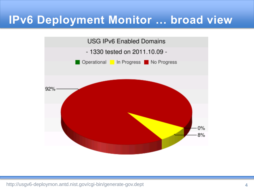### **IPv6 Deployment Monitor … broad view**



http://usgv6-deploymon.antd.nist.gov/cgi-bin/generate-gov.dept 4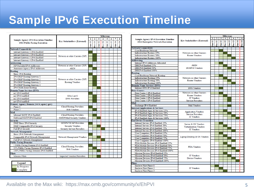## **Sample IPv6 Execution Timeline**

|                                                                          | <b>Key Stakeholders (External)</b> |               | <b>Milestone</b> |   |                                       |          |          |         |      |  |
|--------------------------------------------------------------------------|------------------------------------|---------------|------------------|---|---------------------------------------|----------|----------|---------|------|--|
| <b>Sample Agency IPv6 Execution Timeline</b>                             |                                    |               | $\overline{2}$   | 3 | $\boldsymbol{\Lambda}$                | 5        | 6        |         | 8    |  |
| <b>2012 Public Facing Execution</b>                                      |                                    |               |                  |   |                                       |          |          |         |      |  |
|                                                                          |                                    | $\frac{1}{2}$ | $Dec-11$         |   | $\frac{J\text{un}-12}{\text{Dec}-12}$ | $Ium-13$ | $Dec-13$ | $um-14$ | $14$ |  |
| <b>Network Connectivity</b>                                              |                                    |               |                  |   |                                       |          |          |         |      |  |
| Internet Gateway 1 IPv6 Enabled                                          |                                    |               |                  |   |                                       |          |          |         |      |  |
| Internet Gateway 2 IPv6 Enabled                                          |                                    |               |                  |   |                                       |          |          |         |      |  |
| Internet Gateway 3 IPv6 Enabled                                          | Networx or other Carriers (ISP)    |               |                  |   |                                       |          |          |         |      |  |
| Internet Gateway 4 IPv6 Enabled                                          |                                    |               |                  |   |                                       |          |          |         |      |  |
| Addressing                                                               |                                    |               |                  |   |                                       |          |          |         |      |  |
| <b>ISP Provided IPv6 Addresses</b>                                       | Networx or other Carriers (ISP)    |               |                  |   |                                       |          |          |         |      |  |
| Announce Agency IPv6 Addresses                                           | <b>ARIN</b>                        |               |                  |   |                                       |          |          |         |      |  |
| Routing                                                                  |                                    |               |                  |   |                                       |          |          |         |      |  |
| <b>Basic IPv6 Routing</b>                                                |                                    |               |                  |   |                                       |          |          |         |      |  |
| IPv6 BGP Routing Gateway 1                                               |                                    |               |                  |   |                                       |          |          |         |      |  |
| IPv6 BGP Routing Gateway 2                                               | Networx or other Carriers (ISP)    |               |                  |   |                                       |          |          |         |      |  |
| IPv6 BGP Routing Gateway 3                                               | <b>Routing Vendors</b>             |               |                  |   |                                       |          |          |         |      |  |
| IPv6 BGP Routing Gateway 4                                               |                                    |               |                  |   |                                       |          |          |         |      |  |
| IPv6 Multi-home Routing                                                  |                                    |               |                  |   |                                       |          |          |         |      |  |
| <b>Domain Name Services (DNS)</b>                                        |                                    |               |                  |   |                                       |          |          |         |      |  |
| ns1 IPv6 enabled                                                         |                                    |               |                  |   |                                       |          |          |         |      |  |
| ns2 IPv6 enabled                                                         | GSA (.gov)                         |               |                  |   |                                       |          |          |         |      |  |
| ns3 IPv6 enabled                                                         | <b>DNS Providers</b>               |               |                  |   |                                       |          |          |         |      |  |
| ns4 IPv6 enabled                                                         |                                    |               |                  |   |                                       |          |          |         |      |  |
| Primary Agency Domain (www.agency.gov)                                   |                                    |               |                  |   |                                       |          |          |         |      |  |
| Phase 1                                                                  | <b>Cloud/Hosting Providers</b>     |               |                  |   |                                       |          |          |         |      |  |
| Phase 2                                                                  | <b>Web Vendors</b>                 |               |                  |   |                                       |          |          |         |      |  |
| Mail                                                                     |                                    |               |                  |   |                                       |          |          |         |      |  |
| Inbound SMTP IPv6 Enabled                                                | Cloud/Hosting Providers            |               |                  |   |                                       |          |          |         |      |  |
| Outbound SMTP IPv6 Enabled                                               | SMTP/Mail Security Vendors         |               |                  |   |                                       |          |          |         |      |  |
| Security                                                                 |                                    |               |                  |   |                                       |          |          |         |      |  |
| <b>DMZ</b> Basic IPv6 Security                                           | <b>MTIPS/TICAP Providers</b>       |               |                  |   |                                       |          |          |         |      |  |
| <b>DMZ</b> Comparable IPv6 Security                                      | <b>Security Vendors</b>            |               |                  |   |                                       |          |          |         |      |  |
| <b>Full IPv6 Security</b>                                                | <b>Security Service Providers</b>  |               |                  |   |                                       |          |          |         |      |  |
| <b>Network Management</b>                                                |                                    |               |                  |   |                                       |          |          |         |      |  |
| Basic IPv6 Network Management                                            |                                    |               |                  |   |                                       |          |          |         |      |  |
| Comparable IPv6 Network Management<br>Network Management Vendors         |                                    |               |                  |   |                                       |          |          |         |      |  |
| Full IPv6 Network Management                                             |                                    |               |                  |   |                                       |          |          |         |      |  |
| <b>Public Facing Domains</b>                                             |                                    |               |                  |   |                                       |          |          |         |      |  |
| 1 Public Facing Domain IPv6 Enabled                                      |                                    |               |                  |   |                                       |          |          |         |      |  |
| <b>Cloud/Hosting Providers</b><br>35% Public Facing Domains IPv6 Enabled |                                    |               |                  |   |                                       |          |          |         |      |  |
| 100% Public Facing Domains IPv6 Enabled                                  | <b>Web Vendors</b>                 |               |                  |   |                                       |          |          |         |      |  |
| Pilots                                                                   |                                    |               |                  |   |                                       |          |          |         |      |  |
| <b>Mission Pilots</b>                                                    | <b>Impacted Vendors/Providers</b>  |               |                  |   |                                       |          |          |         |      |  |

| Legend      |
|-------------|
| In Progress |
| Complete    |

|                                              |                                               | <b>Milestone</b> |          |        |          |               |          |   |          |
|----------------------------------------------|-----------------------------------------------|------------------|----------|--------|----------|---------------|----------|---|----------|
|                                              |                                               |                  | 2        | 3      | 4        | 5             | 6        |   | 8        |
| <b>Sample Agency IPv6 Execution Timeline</b> | <b>Key Stakeholders (External)</b>            |                  |          |        |          |               |          |   |          |
| <b>2014 Enterprise Network Execution</b>     |                                               |                  |          | $m-12$ | $sec-12$ | $\frac{3}{2}$ | $sec-13$ | i |          |
|                                              |                                               | Ī                | $Dec-11$ |        |          |               |          |   | $Dec-14$ |
| <b>Network Connectivity</b>                  |                                               |                  |          |        |          |               |          |   |          |
| Core/Backbone Network                        |                                               |                  |          |        |          |               |          |   |          |
| <b>Infrastructure Routers 25%</b>            | Networx or other Carriers                     |                  |          |        |          |               |          |   |          |
| Infrastructure Routers 50%                   | <b>Router Vendors</b>                         |                  |          |        |          |               |          |   |          |
| <b>Infrastructure Routers 100%</b>           |                                               |                  |          |        |          |               |          |   |          |
| <b>Addressing</b>                            |                                               |                  |          |        |          |               |          |   |          |
| Internal IPv6 Addresses Allocated            |                                               |                  |          |        |          |               |          |   |          |
| DHCPv6 Enabled 25%                           | <b>ARIN</b>                                   |                  |          |        |          |               |          |   |          |
| DHCPv6 Enabled 50%                           | <b>DCHPv6</b> Vendors                         |                  |          |        |          |               |          |   |          |
| DHCPv6 Enabled 100%                          |                                               |                  |          |        |          |               |          |   |          |
| Routing                                      |                                               |                  |          |        |          |               |          |   |          |
| Core/Backbone Network Routing                |                                               |                  |          |        |          |               |          |   |          |
| Infrastructure Routing 25%                   | Networx or other Carriers                     |                  |          |        |          |               |          |   |          |
| <b>Infrastructure Routing 50%</b>            | <b>Router Vendors</b>                         |                  |          |        |          |               |          |   |          |
| <b>Infrastructure Routing 100%</b>           |                                               |                  |          |        |          |               |          |   |          |
| <b>Domain Name Services (DNS)</b>            |                                               |                  |          |        |          |               |          |   |          |
| Internal DNS IPv6 Enabled                    | <b>DNS Vendors</b>                            |                  |          |        |          |               |          |   |          |
| <b>Data Centers</b>                          |                                               |                  |          |        |          |               |          |   |          |
| Data Center 1 IPv6 Enabled                   | Networx or other Carriers                     |                  |          |        |          |               |          |   |          |
| Data Center 2 IPv6 Enabled                   | <b>Router Vendors</b>                         |                  |          |        |          |               |          |   |          |
| Data Center 3 IPv6 Enabled                   | <b>IT Vendors</b>                             |                  |          |        |          |               |          |   |          |
| Data Center 4 IPv6 Enabled                   | <b>Service Providers</b>                      |                  |          |        |          |               |          |   |          |
| Mail                                         |                                               |                  |          |        |          |               |          |   |          |
| Exchange IPv6 Enabled                        | Mail Vendors                                  |                  |          |        |          |               |          |   |          |
| <b>Internal Applications &amp; Services</b>  |                                               |                  |          |        |          |               |          |   |          |
| IPv6 Enabled Apps & Services 25%             |                                               |                  |          |        |          |               |          |   |          |
| IPv6 Enabled Apps & Services 50%             | <b>Application Vendors</b>                    |                  |          |        |          |               |          |   |          |
| IPv6 Enabled Apps & Services 75%             | <b>Service Providers</b><br><b>IT Vendors</b> |                  |          |        |          |               |          |   |          |
| IPv6 Enabled Apps & Services 100%            |                                               |                  |          |        |          |               |          |   |          |
| <b>End Device Transition</b>                 |                                               |                  |          |        |          |               |          |   |          |
| Internal Servers IPv6 Enabled 25%            |                                               |                  |          |        |          |               |          |   |          |
| Internal Servers IPv6 Enabled 50%            | Server & OS Vendors                           |                  |          |        |          |               |          |   |          |
| Internal Servers IPv6 Enabled 75%            | Virtualization Vendors                        |                  |          |        |          |               |          |   |          |
| Internal Servers IPv6 Enabled 100%           | <b>IT Vendors</b>                             |                  |          |        |          |               |          |   |          |
| User Computers IPv6 Enabled 25%              |                                               |                  |          |        |          |               |          |   |          |
| User Computers IPv6 Enabled 50%              |                                               |                  |          |        |          |               |          |   |          |
| User Computers IPv6 Enabled 75%              | Laptop/Desktop & OS Vendors                   |                  |          |        |          |               |          |   |          |
| User Computers IPv6 Enabled 100%             |                                               |                  |          |        |          |               |          |   |          |
| PDA/Mobile Devices IPv6 Enabled 25%          |                                               |                  |          |        |          |               |          |   |          |
| PDA/Mobile Devices IPv6 Enabled 50%          |                                               |                  |          |        |          |               |          |   |          |
| PDA/Mobile Devices IPv6 Enabled 75%          | <b>PDA</b> Vendors                            |                  |          |        |          |               |          |   |          |
| PDA/Mobile Devices IPv6 Enabled 100%         |                                               |                  |          |        |          |               |          |   |          |
| Mission Devices IPv6 Enabled 25%             |                                               |                  |          |        |          |               |          |   |          |
| Mission Devices IPv6 Enabled 50%             | <b>IT Vendors</b>                             |                  |          |        |          |               |          |   |          |
| Mission Devices IPv6 Enabled 75%             | <b>Device Vendors</b>                         |                  |          |        |          |               |          |   |          |
| Mission Devices IPv6 Enabled 100%            |                                               |                  |          |        |          |               |          |   |          |
| Pilots                                       |                                               |                  |          |        |          |               |          |   |          |
| <b>Enclave Pilot Phase 1</b>                 |                                               |                  |          |        |          |               |          |   |          |
| <b>Enclave Pilot Phase 2</b>                 | <b>IT Vendors</b>                             |                  |          |        |          |               |          |   |          |
| <b>Enclave Pilot Phase 3</b>                 |                                               |                  |          |        |          |               |          |   |          |
|                                              |                                               |                  |          |        |          |               |          |   |          |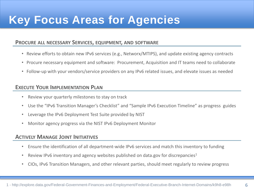## **Key Focus Areas for Agencies**

#### **PROCURE ALL NECESSARY SERVICES, EQUIPMENT, AND SOFTWARE**

- Review efforts to obtain new IPv6 services (e.g., Networx/MTIPS), and update existing agency contracts
- Procure necessary equipment and software: Procurement, Acquisition and IT teams need to collaborate
- Follow-up with your vendors/service providers on any IPv6 related issues, and elevate issues as needed

#### **EXECUTE YOUR IMPLEMENTATION PLAN**

- Review your quarterly milestones to stay on track
- Use the "IPv6 Transition Manager's Checklist" and "Sample IPv6 Execution Timeline" as progress guides
- Leverage the IPv6 Deployment Test Suite provided by NIST
- Monitor agency progress via the NIST IPv6 Deployment Monitor

#### **ACTIVELY MANAGE JOINT INITIATIVES**

- Ensure the identification of all department-wide IPv6 services and match this inventory to funding
- Review IPv6 inventory and agency websites published on data.gov for discrepancies<sup>1</sup>
- CIOs, IPv6 Transition Managers, and other relevant parties, should meet regularly to review progress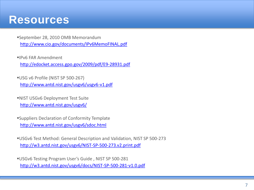### **Resources**

- September 28, 2010 OMB Memorandum <http://www.cio.gov/documents/IPv6MemoFINAL.pdf>
- IPv6 FAR Amendment <http://edocket.access.gpo.gov/2009/pdf/E9-28931.pdf>
- USG v6 Profile (NIST SP 500-267) <http://www.antd.nist.gov/usgv6/usgv6-v1.pdf>
- NIST USGv6 Deployment Test Suite <http://www.antd.nist.gov/usgv6/>
- Suppliers Declaration of Conformity Template <http://www.antd.nist.gov/usgv6/sdoc.html>
- USGv6 Test Method: General Description and Validation, NIST SP 500-273 <http://w3.antd.nist.gov/usgv6/NIST-SP-500-273.v2.print.pdf>
- USGv6 Testing Program User's Guide , NIST SP 500-281 <http://w3.antd.nist.gov/usgv6/docs/NIST-SP-500-281-v1.0.pdf>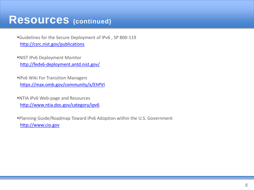### **Resources (continued)**

- Guidelines for the Secure Deployment of IPv6 , SP 800-119 <http://csrc.nist.gov/publications>
- NIST IPv6 Deployment Monitor <http://fedv6-deployment.antd.nist.gov/>
- IPv6 Wiki For Transition Managers <https://max.omb.gov/community/x/EhPVI>
- NTIA IPv6 Web-page and Resources <http://www.ntia.doc.gov/category/ipv6>

Planning Guide/Roadmap Toward IPv6 Adoption within the U.S. Government [http://www.cio.gov](http://www.cio.gov/)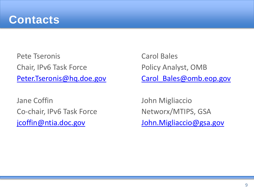

Pete Tseronis Chair, IPv6 Task Force [Peter.Tseronis@hq.doe.gov](mailto:Peter.Tseronis@hq.doe.gov)

Jane Coffin Co-chair, IPv6 Task Force [jcoffin@ntia.doc.gov](mailto:jcoffin@ntia.doc.gov)

Carol Bales Policy Analyst, OMB [Carol\\_Bales@omb.eop.gov](mailto:Carol_Bales@omb.eop.gov)

John Migliaccio Networx/MTIPS, GSA [John.Migliaccio@gsa.gov](mailto:John.Migliaccio@gsa.gov)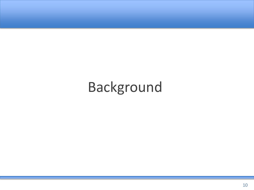# Background